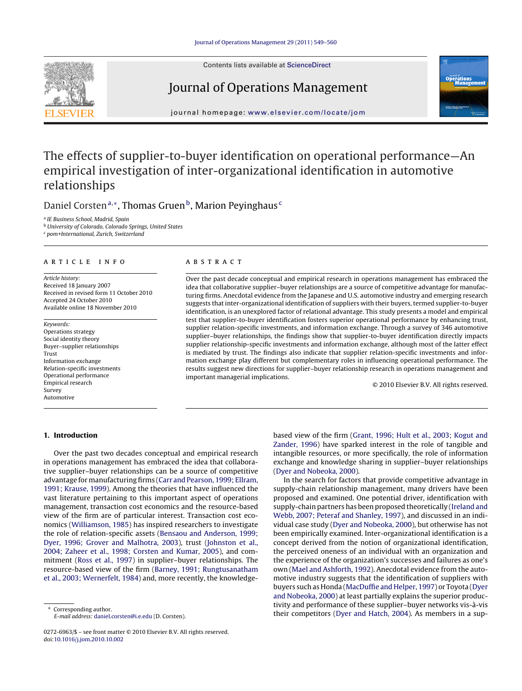Contents lists available at [ScienceDirect](http://www.sciencedirect.com/science/journal/02726963)

### Journal of Operations Management



journal homepage: [www.elsevier.com/locate/jom](http://www.elsevier.com/locate/jom)

## The effects of supplier-to-buyer identification on operational performance—An empirical investigation of inter-organizational identification in automotive relationships

Daniel Corsten<sup>a,∗</sup>, Thomas Gruen<sup>b</sup>, Marion Peyinghaus<sup>c</sup>

<sup>a</sup> IE Business School, Madrid, Spain

<sup>b</sup> University of Colorado, Colorado Springs, United States

<sup>c</sup> pom+International, Zurich, Switzerland

#### article info

Article history: Received 18 January 2007 Received in revised form 11 October 2010 Accepted 24 October 2010 Available online 18 November 2010

Keywords: Operations strategy Social identity theory Buyer–supplier relationships Trust Information exchange Relation-specific investments Operational performance Empirical research Survey Automotive

#### **1. Introduction**

#### ABSTRACT

Over the past decade conceptual and empirical research in operations management has embraced the idea that collaborative supplier–buyer relationships are a source of competitive advantage for manufacturing firms. Anecdotal evidence from the Japanese and U.S. automotive industry and emerging research suggests that inter-organizational identification of suppliers with their buyers, termed supplier-to-buyer identification, is an unexplored factor of relational advantage. This study presents a model and empirical test that supplier-to-buyer identification fosters superior operational performance by enhancing trust, supplier relation-specific investments, and information exchange. Through a survey of 346 automotive supplier–buyer relationships, the findings show that supplier-to-buyer identification directly impacts supplier relationship-specific investments and information exchange, although most of the latter effect is mediated by trust. The findings also indicate that supplier relation-specific investments and information exchange play different but complementary roles in influencing operational performance. The results suggest new directions for supplier–buyer relationship research in operations management and important managerial implications.

© 2010 Elsevier B.V. All rights reserved.

Over the past two decades conceptual and empirical research in operations management has embraced the idea that collaborative supplier–buyer relationships can be a source of competitive advantage for manufacturing firms ([Carr and Pearson, 1999; Ellram,](#page--1-0) [1991; Krause, 1999\).](#page--1-0) Among the theories that have influenced the vast literature pertaining to this important aspect of operations management, transaction cost economics and the resource-based view of the firm are of particular interest. Transaction cost economics [\(Williamson, 1985\) h](#page--1-0)as inspired researchers to investigate the role of relation-specific assets [\(Bensaou and Anderson, 1999;](#page--1-0) [Dyer, 1996; Grover and Malhotra, 2003\),](#page--1-0) trust ([Johnston et al.,](#page--1-0) [2004; Zaheer et al., 1998; Corsten and Kumar, 2005\),](#page--1-0) and commitment [\(Ross et al., 1997\)](#page--1-0) in supplier–buyer relationships. The resource-based view of the firm ([Barney, 1991; Rungtusanatham](#page--1-0) [et al., 2003; Wernerfelt, 1984\) a](#page--1-0)nd, more recently, the knowledge-

Corresponding author. E-mail address: [daniel.corsten@i.e.edu](mailto:daniel.corsten@i.e.edu) (D. Corsten). based view of the firm [\(Grant, 1996; Hult et al., 2003; Kogut and](#page--1-0) [Zander, 1996\)](#page--1-0) have sparked interest in the role of tangible and intangible resources, or more specifically, the role of information exchange and knowledge sharing in supplier–buyer relationships [\(Dyer and Nobeoka, 2000\).](#page--1-0)

In the search for factors that provide competitive advantage in supply-chain relationship management, many drivers have been proposed and examined. One potential driver, identification with supply-chain partners has been proposed theoretically [\(Ireland and](#page--1-0) [Webb, 2007; Peteraf and Shanley, 1997\),](#page--1-0) and discussed in an individual case study ([Dyer and Nobeoka, 2000\),](#page--1-0) but otherwise has not been empirically examined. Inter-organizational identification is a concept derived from the notion of organizational identification, the perceived oneness of an individual with an organization and the experience of the organization's successes and failures as one's own ([Mael and Ashforth, 1992\).](#page--1-0) Anecdotal evidence from the automotive industry suggests that the identification of suppliers with buyers such as Honda [\(MacDuffie and Helper, 1997\) o](#page--1-0)r Toyota ([Dyer](#page--1-0) [and Nobeoka, 2000\) a](#page--1-0)t least partially explains the superior productivity and performance of these supplier–buyer networks vis-à-vis their competitors ([Dyer and Hatch, 2004\).](#page--1-0) As members in a sup-

<sup>0272-6963/\$ –</sup> see front matter © 2010 Elsevier B.V. All rights reserved. doi:[10.1016/j.jom.2010.10.002](dx.doi.org/10.1016/j.jom.2010.10.002)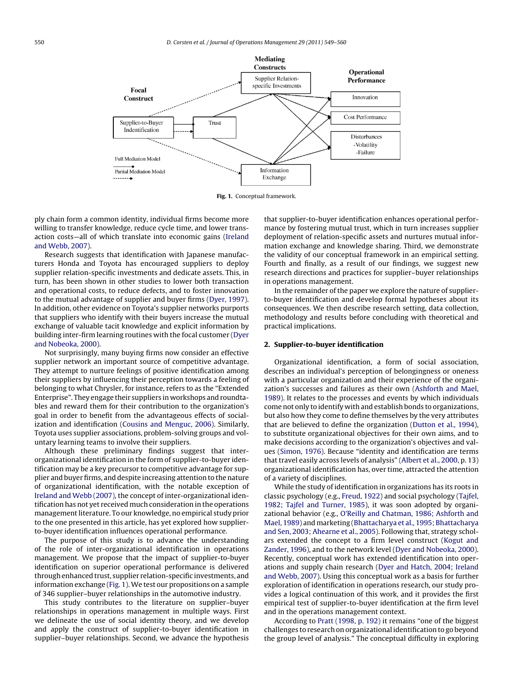

**Fig. 1.** Conceptual framework.

ply chain form a common identity, individual firms become more willing to transfer knowledge, reduce cycle time, and lower transaction costs—all of which translate into economic gains [\(Ireland](#page--1-0) [and Webb, 2007\).](#page--1-0)

Research suggests that identification with Japanese manufacturers Honda and Toyota has encouraged suppliers to deploy supplier relation-specific investments and dedicate assets. This, in turn, has been shown in other studies to lower both transaction and operational costs, to reduce defects, and to foster innovation to the mutual advantage of supplier and buyer firms ([Dyer, 1997\).](#page--1-0) In addition, other evidence on Toyota's supplier networks purports that suppliers who identify with their buyers increase the mutual exchange of valuable tacit knowledge and explicit information by building inter-firm learning routines with the focal customer [\(Dyer](#page--1-0) [and Nobeoka, 2000\).](#page--1-0)

Not surprisingly, many buying firms now consider an effective supplier network an important source of competitive advantage. They attempt to nurture feelings of positive identification among their suppliers by influencing their perception towards a feeling of belonging to what Chrysler, for instance, refers to as the "Extended Enterprise". They engage their suppliers in workshops and roundtables and reward them for their contribution to the organization's goal in order to benefit from the advantageous effects of socialization and identification [\(Cousins and Menguc, 2006\).](#page--1-0) Similarly, Toyota uses supplier associations, problem-solving groups and voluntary learning teams to involve their suppliers.

Although these preliminary findings suggest that interorganizational identification in the form of supplier-to-buyer identification may be a key precursor to competitive advantage for supplier and buyer firms, and despite increasing attention to the nature of organizational identification, with the notable exception of [Ireland and Webb \(2007\), t](#page--1-0)he concept of inter-organizational identification has not yet received much consideration in the operations management literature. To our knowledge, no empirical study prior to the one presented in this article, has yet explored how supplierto-buyer identification influences operational performance.

The purpose of this study is to advance the understanding of the role of inter-organizational identification in operations management. We propose that the impact of supplier-to-buyer identification on superior operational performance is delivered through enhanced trust, supplier relation-specific investments, and information exchange (Fig. 1).We test our propositions on a sample of 346 supplier–buyer relationships in the automotive industry.

This study contributes to the literature on supplier–buyer relationships in operations management in multiple ways. First we delineate the use of social identity theory, and we develop and apply the construct of supplier-to-buyer identification in supplier–buyer relationships. Second, we advance the hypothesis

that supplier-to-buyer identification enhances operational performance by fostering mutual trust, which in turn increases supplier deployment of relation-specific assets and nurtures mutual information exchange and knowledge sharing. Third, we demonstrate the validity of our conceptual framework in an empirical setting. Fourth and finally, as a result of our findings, we suggest new research directions and practices for supplier–buyer relationships in operations management.

In the remainder of the paper we explore the nature of supplierto-buyer identification and develop formal hypotheses about its consequences. We then describe research setting, data collection, methodology and results before concluding with theoretical and practical implications.

#### **2. Supplier-to-buyer identification**

Organizational identification, a form of social association, describes an individual's perception of belongingness or oneness with a particular organization and their experience of the organization's successes and failures as their own [\(Ashforth and Mael,](#page--1-0) [1989\).](#page--1-0) It relates to the processes and events by which individuals come not only to identify with and establish bonds to organizations, but also how they come to define themselves by the very attributes that are believed to define the organization ([Dutton et al., 1994\),](#page--1-0) to substitute organizational objectives for their own aims, and to make decisions according to the organization's objectives and values [\(Simon, 1976\).](#page--1-0) Because "identity and identification are terms that travel easily across levels of analysis" [\(Albert et al., 2000, p](#page--1-0). 13) organizational identification has, over time, attracted the attention of a variety of disciplines.

While the study of identification in organizations has its roots in classic psychology (e.g., [Freud, 1922\)](#page--1-0) and social psychology ([Tajfel,](#page--1-0) [1982; Tajfel and Turner, 1985\),](#page--1-0) it was soon adopted by organizational behavior (e.g., [O'Reilly and Chatman, 1986; Ashforth and](#page--1-0) [Mael, 1989\) a](#page--1-0)nd marketing ([Bhattacharya et al., 1995; Bhattacharya](#page--1-0) [and Sen, 2003; Ahearne et al., 2005\).](#page--1-0) Following that, strategy scholars extended the concept to a firm level construct [\(Kogut and](#page--1-0) [Zander, 1996\),](#page--1-0) and to the network level [\(Dyer and Nobeoka, 2000\).](#page--1-0) Recently, conceptual work has extended identification into operations and supply chain research [\(Dyer and Hatch, 2004; Ireland](#page--1-0) [and Webb, 2007\).](#page--1-0) Using this conceptual work as a basis for further exploration of identification in operations research, our study provides a logical continuation of this work, and it provides the first empirical test of supplier-to-buyer identification at the firm level and in the operations management context.

According to [Pratt \(1998, p. 192\)](#page--1-0) it remains "one of the biggest challenges to research on organizational identification to go beyond the group level of analysis." The conceptual difficulty in exploring